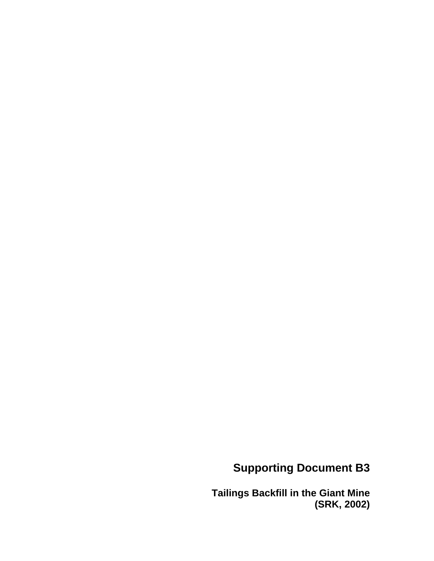# **Supporting Document B3**

**Tailings Backfill in the Giant Mine (SRK, 2002)**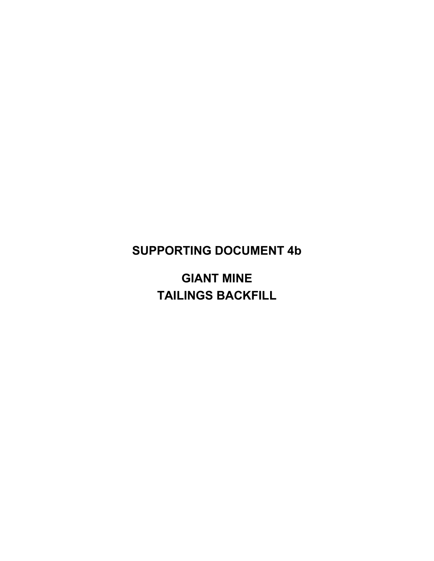## SUPPORTING DOCUMENT 4b

GIANT MINE TAILINGS BACKFILL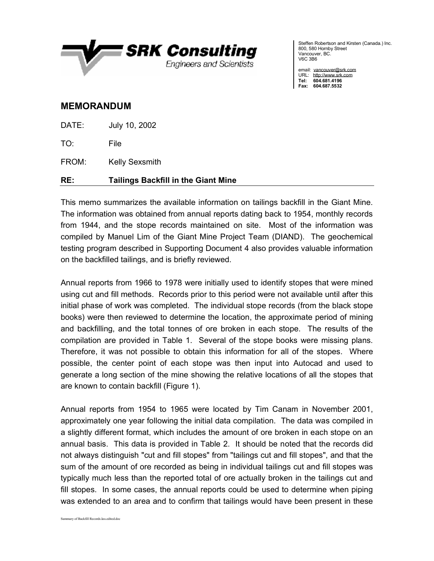

Steffen Robertson and Kirsten (Canada.) Inc. 800, 580 Hornby Street Vancouver, BC. V6C 3B6

email: [vancouver@srk.com](mailto:vancouver@srk.com) URL: <http://www.srk.com> Tel: 604.681.4196 Fax: 604.687.5532

#### MEMORANDUM

DATE: July 10, 2002

TO: File

FROM: Kelly Sexsmith

### RE: Tailings Backfill in the Giant Mine

This memo summarizes the available information on tailings backfill in the Giant Mine. The information was obtained from annual reports dating back to 1954, monthly records from 1944, and the stope records maintained on site. Most of the information was compiled by Manuel Lim of the Giant Mine Project Team (DIAND). The geochemical testing program described in Supporting Document 4 also provides valuable information on the backfilled tailings, and is briefly reviewed.

Annual reports from 1966 to 1978 were initially used to identify stopes that were mined using cut and fill methods. Records prior to this period were not available until after this initial phase of work was completed. The individual stope records (from the black stope books) were then reviewed to determine the location, the approximate period of mining and backfilling, and the total tonnes of ore broken in each stope. The results of the compilation are provided in Table 1. Several of the stope books were missing plans. Therefore, it was not possible to obtain this information for all of the stopes. Where possible, the center point of each stope was then input into Autocad and used to generate a long section of the mine showing the relative locations of all the stopes that are known to contain backfill (Figure 1).

Annual reports from 1954 to 1965 were located by Tim Canam in November 2001, approximately one year following the initial data compilation. The data was compiled in a slightly different format, which includes the amount of ore broken in each stope on an annual basis. This data is provided in Table 2. It should be noted that the records did not always distinguish "cut and fill stopes" from "tailings cut and fill stopes", and that the sum of the amount of ore recorded as being in individual tailings cut and fill stopes was typically much less than the reported total of ore actually broken in the tailings cut and fill stopes. In some cases, the annual reports could be used to determine when piping was extended to an area and to confirm that tailings would have been present in these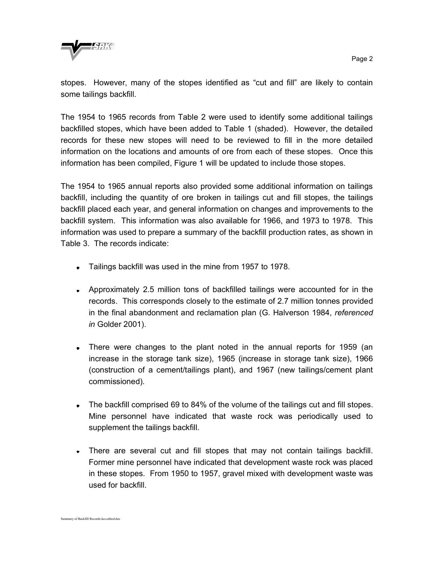

stopes. However, many of the stopes identified as "cut and fill" are likely to contain some tailings backfill.

The 1954 to 1965 records from Table 2 were used to identify some additional tailings backfilled stopes, which have been added to Table 1 (shaded). However, the detailed records for these new stopes will need to be reviewed to fill in the more detailed information on the locations and amounts of ore from each of these stopes. Once this information has been compiled, Figure 1 will be updated to include those stopes.

The 1954 to 1965 annual reports also provided some additional information on tailings backfill, including the quantity of ore broken in tailings cut and fill stopes, the tailings backfill placed each year, and general information on changes and improvements to the backfill system. This information was also available for 1966, and 1973 to 1978. This information was used to prepare a summary of the backfill production rates, as shown in Table 3. The records indicate:

- Tailings backfill was used in the mine from 1957 to 1978.
- Approximately 2.5 million tons of backfilled tailings were accounted for in the records. This corresponds closely to the estimate of 2.7 million tonnes provided in the final abandonment and reclamation plan (G. Halverson 1984, *referenced in* Golder 2001).
- There were changes to the plant noted in the annual reports for 1959 (an increase in the storage tank size), 1965 (increase in storage tank size), 1966 (construction of a cement/tailings plant), and 1967 (new tailings/cement plant commissioned).
- The backfill comprised 69 to 84% of the volume of the tailings cut and fill stopes. Mine personnel have indicated that waste rock was periodically used to supplement the tailings backfill.
- There are several cut and fill stopes that may not contain tailings backfill. Former mine personnel have indicated that development waste rock was placed in these stopes. From 1950 to 1957, gravel mixed with development waste was used for backfill.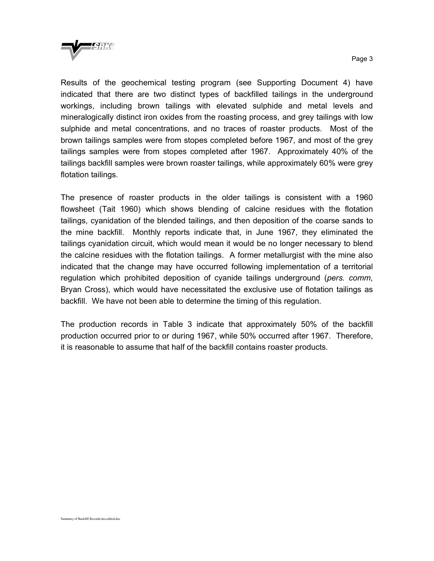

Results of the geochemical testing program (see Supporting Document 4) have indicated that there are two distinct types of backfilled tailings in the underground workings, including brown tailings with elevated sulphide and metal levels and mineralogically distinct iron oxides from the roasting process, and grey tailings with low sulphide and metal concentrations, and no traces of roaster products. Most of the brown tailings samples were from stopes completed before 1967, and most of the grey tailings samples were from stopes completed after 1967. Approximately 40% of the tailings backfill samples were brown roaster tailings, while approximately 60% were grey flotation tailings.

The presence of roaster products in the older tailings is consistent with a 1960 flowsheet (Tait 1960) which shows blending of calcine residues with the flotation tailings, cyanidation of the blended tailings, and then deposition of the coarse sands to the mine backfill. Monthly reports indicate that, in June 1967, they eliminated the tailings cyanidation circuit, which would mean it would be no longer necessary to blend the calcine residues with the flotation tailings. A former metallurgist with the mine also indicated that the change may have occurred following implementation of a territorial regulation which prohibited deposition of cyanide tailings underground (*pers. comm*, Bryan Cross), which would have necessitated the exclusive use of flotation tailings as backfill. We have not been able to determine the timing of this regulation.

The production records in Table 3 indicate that approximately 50% of the backfill production occurred prior to or during 1967, while 50% occurred after 1967. Therefore, it is reasonable to assume that half of the backfill contains roaster products.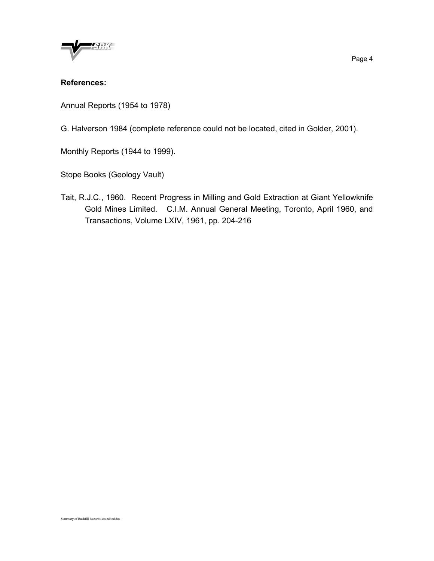

#### References:

Annual Reports (1954 to 1978)

G. Halverson 1984 (complete reference could not be located, cited in Golder, 2001).

Monthly Reports (1944 to 1999).

Stope Books (Geology Vault)

Tait, R.J.C., 1960. Recent Progress in Milling and Gold Extraction at Giant Yellowknife Gold Mines Limited. C.I.M. Annual General Meeting, Toronto, April 1960, and Transactions, Volume LXIV, 1961, pp. 204-216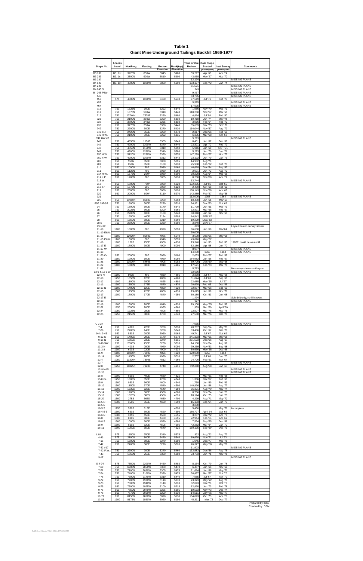| Stope No.<br>B3 131                 | <b>Access</b><br>Level<br><b>B3, 1st</b> | Northing<br>3225N       | Easting<br>850W | <b>Bottom</b><br><b>Elevation</b><br>5845 | Back(top)<br>Elevation<br>5980 | Tons of Ore<br><b>Broken</b><br>59,217 | Date Stope<br><b>Started</b><br>(month/year)<br>Apr '68 | Last Survey<br>(month/year)<br>Apr '74 | <b>Comments</b>                                     |  |
|-------------------------------------|------------------------------------------|-------------------------|-----------------|-------------------------------------------|--------------------------------|----------------------------------------|---------------------------------------------------------|----------------------------------------|-----------------------------------------------------|--|
| B3 233<br>B3 237                    | <b>B3, 1st</b>                           | 3300N                   | 900W            | 5810                                      | 5900                           | 43,958<br>12,194                       | May '67                                                 | <b>Nov '70</b>                         | <b>MISSING PLANS</b>                                |  |
| B4 143<br>B4 245                    | <b>B3, 1st</b>                           | 4300N                   | 1300W           | 5850                                      | 5900                           | 133,197<br>81,571                      | Sep '72                                                 | Jan '74                                | <b>MISSING PLANS</b>                                |  |
| B4 245 S<br>B 205 Pillar            |                                          |                         |                 |                                           |                                | 549<br>9,467                           |                                                         |                                        | <b>MISSING PLANS</b><br><b>MISSING PLANS</b>        |  |
| 445<br>450                          | 575                                      | 4800N                   | 1300W           | 5460                                      | 5640                           | 53,765<br>97,619                       | Jul '71                                                 | Feb '77                                | <b>MISSING PLANS</b>                                |  |
| 452<br>464                          |                                          |                         |                 |                                           |                                | 5,575<br>17,675                        |                                                         |                                        | <b>MISSING PLANS</b><br><b>MISSING PLANS</b>        |  |
| 715                                 | 750                                      | 1625N                   | 700E            | 5292                                      | 5340                           | 1,986                                  | <b>Nov '70</b>                                          | Mar '71                                |                                                     |  |
| 717                                 | 750                                      | 1675N                   | 580W            | 5310                                      | 5440                           | 118,260                                | <b>Nov '57</b>                                          | Mar '58                                |                                                     |  |
| 719                                 | 750                                      | 13740N                  | 7670E           | 5260                                      | 5480                           | 4,914                                  | Jul '54                                                 | Feb '60                                |                                                     |  |
| 723                                 | 750                                      | 2100N                   | 250W            | 5290                                      | 5310                           | 10,418                                 | Jun '74                                                 | May '76                                |                                                     |  |
| 737                                 | 750                                      | 3700N                   | 240W            | 5265                                      | 5310                           | 3,966                                  | Feb '64                                                 | Feb '70                                |                                                     |  |
| 738                                 | 750                                      | 3775N                   | 250W            | 5330                                      | 5440                           | 35,689                                 | Dec '73                                                 | Oct ' 77                               |                                                     |  |
| 742                                 | 750                                      | 2200N                   | 600E            | 5270                                      | 5430                           | 114,044                                | Nov '67                                                 | Aug '72                                |                                                     |  |
| 742 #17                             | 750                                      | 2425N                   | 550E            | 5200                                      | 5270                           | 2,317                                  | Dec '66                                                 | Feb '68                                |                                                     |  |
| 742 H.W.<br>742 HW #2<br>746        | 750<br>750                               | 2100N<br>4650N          | 500E<br>1150E   | 5292<br>5305                              | 5335<br>5345                   | 6,305<br>5,213                         | Mar '68                                                 | Apr '68<br>Dec '68                     | <b>MISSING PLANS</b>                                |  |
| 747<br>748                          | 750<br>750                               | 4900N<br>4850N          | 1300W<br>1160W  | 5340<br>5310                              | 5440<br>5350                   | 8,401<br>23,821<br>5,916               | Jun '67<br>Apr '70<br>Jan '69                           | Feb '72<br><b>OCT '71</b>              |                                                     |  |
| 749                                 | 750                                      | 4900N                   | 1260W           | 5340                                      | 5380                           | 5,273                                  | Jun '70                                                 | Jan '71                                |                                                     |  |
| 750 H.W.                            | 750                                      | 5120N                   | 1250W           | 5390                                      | 5570                           | 147,299                                | Feb '67                                                 | <b>Nov '77</b>                         |                                                     |  |
| 750 F.W.<br>906                     | 750<br>950                               | 4900N<br>550N           | 1300W<br>850E   | 5312<br>5060                              | 5442<br>5095                   | 23,122<br>14,952                       | Jun '70<br>Aug '71                                      | Jan '73                                |                                                     |  |
| 907                                 | 950                                      | 850N                    | 850E            | 5180                                      | 5230                           | 75,958                                 | Feb '72                                                 | <b>Feb '73</b>                         |                                                     |  |
| 910                                 | 950                                      | 1000N                   | 50E             | 5080                                      | 5160                           | 46,618                                 | Dec '64                                                 | Sep '67                                |                                                     |  |
| 911                                 | 950                                      | 1125N                   | 70E             | 5030                                      | 5060                           | 2,071                                  | Jun '72                                                 | Aug '72                                |                                                     |  |
| 914 H.W.                            | 950                                      | 1575N                   | <b>20W</b>      | 5080                                      | 5200                           | 30.220                                 | Aug '64                                                 | Mar '68                                |                                                     |  |
| 914 L.P.<br>918 W                   | 950                                      | 1200N                   | 00E             | 5055                                      | 5130                           | 8,280<br>13,744                        | Nov '68                                                 | Apr '71                                | <b>MISSING PLANS</b>                                |  |
| 918                                 | 950                                      | 1800N                   | 70W             | 5060                                      | 5220                           | 172,335                                | Jul '56                                                 | Oct '65                                |                                                     |  |
| 918#7                               | 950                                      | 1675N                   | 00E             | 5080                                      | 5120                           | 2,450                                  | Oct '68                                                 | Feb '69                                |                                                     |  |
| 919                                 | 950                                      | 2000N                   | 00E             | 5080                                      | 5190                           | 100,143                                | Nov '58                                                 | Apr '63                                |                                                     |  |
| 920                                 | 950                                      | 2000N                   | 80W             | 5110                                      | 5270                           | 142,889                                | Feb '57                                                 | May '68                                |                                                     |  |
| 921<br>925                          | 950                                      | 13910N                  | 8680E           | 5200                                      | 5294                           | 112,000<br>10,400                      | 1958<br>Jun '61                                         | 1964<br>Mar' 63                        | <b>MISSING PLANS</b>                                |  |
| 89E / 92-93                         | 750                                      | 1800N                   | 500E            | 5270                                      | 5310                           | 94,961                                 | Dec '63                                                 | Oct '68                                |                                                     |  |
| 94                                  | 750                                      | 1800N                   | 600E            | 5170                                      | 5345                           | 11,779                                 | Jun '61                                                 | Mar '71                                |                                                     |  |
| 95                                  | 750                                      | 2025N                   | 560E            | 5200                                      | 5265                           | 32,871                                 | Mar '65                                                 | Feb '67                                |                                                     |  |
| 96                                  | 950                                      | 2200N                   | 400E            | 5160                                      | 5240                           | 60,318                                 | Jan '62                                                 | <b>Nov '68</b>                         |                                                     |  |
| 97<br>98                            | 750<br>950                               | 1950N<br>1650N          | 460E<br>580E    | 5154<br>5210                              | 5295<br>5260                   | 64,542<br>19,229                       | APR '67<br><b>DEC '62</b>                               |                                        |                                                     |  |
| 98 E<br>99 N.W.                     | 750                                      | 2300N                   | 600E            | 5260                                      | 5280                           | 3,840<br>873                           | <b>JAN '67</b>                                          |                                        | Layout has no survey shown.                         |  |
| $11 - 10$<br>11-10 E&W              | 1100                                     | 1000N                   | 80E             | 4920                                      | 5090                           | 66,680<br>30,005                       | Jun '60                                                 | Dec'64                                 | <b>MISSING PLANS</b>                                |  |
| $11 - 13$<br>11-15 E&W              | 1100<br>1100                             | 12920N<br>1500N         | 8060E<br>00E    | 4985<br>4940                              | 5040<br>5070                   | 3,600<br>43,876                        | Dec '65<br>May '62                                      | May '66                                |                                                     |  |
| $11 - 16$                           | 1100                                     | 100S                    | 750E            | 4900                                      | 4930                           | 13,340                                 | Jan '83                                                 | Feb '83                                | 1983? could be waste fill.                          |  |
| 11-17 E                             | 1100                                     | 1700N                   | 300E            | 4900                                      | 5000                           | 82,186                                 | Apr '68                                                 | Jun '70                                |                                                     |  |
| 11-17 W<br>$11 - 18$                |                                          |                         |                 |                                           |                                | 8,987<br>14,200                        | 1960                                                    | 1964                                   | <b>MISSING PLANS</b><br><b>MISSING PLANS</b>        |  |
| 11-20 Cr.                           | 950                                      | 2000N                   | 50E             | 5080                                      | 5100                           | 2,033                                  | Feb '67                                                 | Feb '69                                |                                                     |  |
| 11-20                               | 1150                                     | 1900N                   | 100E            | 4920                                      | 5080                           | 184,982                                | Jan '58                                                 | Feb '67                                |                                                     |  |
| $11 - 21$                           | 1100                                     | 13500N                  | 8460E           | 4905                                      | 5082                           | 59,700                                 | Dec '60                                                 | May '68                                |                                                     |  |
| $11 - 22$                           | 1100                                     | 1800N                   | 300E            | 4910                                      | 4985                           | 17,571                                 | Feb '73                                                 | Mar '76                                |                                                     |  |
| 11-81<br>12-6 & 12-6 LP             |                                          |                         |                 |                                           |                                | 5,783<br>92,636                        |                                                         |                                        | No survey shown on the plan<br><b>MISSING PLANS</b> |  |
| 12-6 N                              | 1100                                     | 500N                    | 40E             | 4830                                      | 4895                           | 2,830                                  | Jul '67                                                 | <b>Nov '68</b>                         |                                                     |  |
| $12 - 10$                           | 1250                                     | 1050N                   | 120E            | 4830                                      | 4900                           | 51,024                                 | Jul '63                                                 | Sep '66                                |                                                     |  |
| $12 - 12$                           | 1100                                     | 1100N                   | 180E            | 4825                                      | 4892                           | 22,685                                 | May '65                                                 | Jul '67                                |                                                     |  |
| $12 - 13$                           | 1100                                     | 1350N                   | 175E            | 4840                                      | 4870                           | 20,670                                 | Feb '66                                                 | Dec '66                                |                                                     |  |
| 12-13 N                             | 1100                                     | 1400N                   | 120E            | 4820                                      | 4920                           | 32,837                                 | Mar '66                                                 | Sep '69                                |                                                     |  |
| $12 - 15$                           | 1000                                     | 1250N                   | 225E            | 4800                                      | 4935                           | 13,625                                 | Jun '69                                                 | Nov '71                                |                                                     |  |
| $12 - 17$<br>12-17 E<br>$12 - 18$   | 1100                                     | 1700N                   | 170E            | 4840                                      | 4950                           | 60,180<br>1,494<br>927                 | Oct '63                                                 | Jun '68                                | Sub drift only, no fill shown.<br>MISSING PLANS     |  |
| $12 - 19$                           | 1100                                     | 1500N                   | 200E            | 4840                                      | 4920                           | 19,108                                 | May '65                                                 | Feb '69                                |                                                     |  |
| $12 - 21$                           | 1150                                     | 2000N                   | 200E            | 4935                                      | 4960                           | 1,939                                  | Mar '60                                                 | April '60                              |                                                     |  |
| $12 - 24$                           | 1250                                     | 1925N                   | 280E            | 4808                                      | 4850                           | 22,507                                 | Mar '75                                                 | <b>Nov '76</b>                         |                                                     |  |
| 12-25                               | 1250                                     | 2150N                   | 300E            | 4760                                      | 4840                           | 27,530                                 | Mar '76                                                 | Dec '78                                |                                                     |  |
|                                     |                                          |                         |                 |                                           |                                |                                        |                                                         |                                        |                                                     |  |
| $C$ 2-27<br>$7 - 4$                 | 750                                      | 400S                    | 220E            | 5260                                      | 5330                           | 7,055<br>20,737                        | Sep '54                                                 | May '73                                | <b>MISSING PLANS</b>                                |  |
| $7 - 26$                            | 750                                      | 2700S                   | 140E            | 5260                                      | 5340                           | 33,456                                 | Oct '67                                                 | Dec '70                                |                                                     |  |
| $9-4/9-4S$                          | 950                                      | 550S                    | 200E            | 5060                                      | 5165                           | 49,741                                 | Jul '67                                                 | Oct '69                                |                                                     |  |
| $9-12S$                             | 950                                      | 1400S                   | 200E            | 5170                                      | 5270                           | 241,393                                | Mar '61                                                 | May '66                                |                                                     |  |
| 9-16N                               | 750                                      | 1850S                   | 230E            | 5270                                      | 5315                           | 231,523                                | Dec '66                                                 | Aug '67                                |                                                     |  |
| 9-16 SW                             | 750                                      | 2000S                   | 250E            | 5230                                      | 5310                           | 14,150                                 | Nov '64                                                 | Aug '67                                |                                                     |  |
| 11-3N                               | 1100                                     | 400S                    | 250E            | 4940                                      | 5090                           | 79,269                                 | Nov '63                                                 | Sep '68                                |                                                     |  |
| $11-3S$                             | 1100                                     | 600S                    | 220E            | 4900                                      | 4934                           | 50,636                                 | May '65                                                 | Dec' 66                                |                                                     |  |
| $11 - 9$                            | 1100                                     | 10800N                  | 7000E           | 4896                                      | 4920                           | 120,000                                | 1958                                                    | 1964                                   |                                                     |  |
| $11 - 14$                           | 1100                                     | 1450S                   | 280E            | 4980                                      | 5010                           | 2,707                                  | Jul '68                                                 | Jan '70                                |                                                     |  |
| $12 - 4$                            | 1250                                     | 11300N                  | 7300E           | 4812                                      | 4960                           | 24,700                                 | Feb '61                                                 | Apr '64                                |                                                     |  |
| $12 - 7$<br>$12 - 8$                | 1250                                     | 10825N                  | 7120E           | 4748                                      | 4911                           | 235000                                 | Aug '58                                                 | Jan '65                                | <b>MISSING PLANS</b>                                |  |
| 12-9 N&S<br>$12 - 20$               |                                          |                         |                 |                                           |                                |                                        |                                                         |                                        | <b>MISSING PLANS</b><br><b>MISSING PLANS</b>        |  |
| $15 - 8$<br>15-8 Cr.                | 1500<br>1250                             | 850S<br>1000S           | 400E<br>350E    | 4680<br>4738                              | 4825<br>4748                   | 1,336                                  | Mar '61<br>Dec '67                                      | Feb '68<br>Feb '68                     |                                                     |  |
| $15-9$                              | 1500                                     | 950S                    | 560E            | 4600                                      | 4640                           | 1,758                                  | Jan '69                                                 | <b>Feb</b> '69                         |                                                     |  |
| $15 - 10$                           | 1500                                     | 1150S                   | 670E            | 4540                                      | 4600                           | 140,826                                | Jun '66                                                 | Aug '77                                |                                                     |  |
| $15 - 13$<br>$15 - 14$<br>$15 - 18$ | 1500<br>1500                             | 1330S<br>1200S<br>1820S | 625E<br>600E    | 4540<br>4560<br>4560                      | 4650<br>4600<br>4595           | 95,301<br>8,766                        | Aug '70<br>Nov '74                                      | <b>Nov '74</b><br>Jun '76<br>Jun '76   |                                                     |  |
| 15-20<br>16-5N                      | 1500<br>1500<br>1500                     | 275S<br>350S            | 580S<br>565S    | 4650<br>4600                              | 4700<br>4690                   | 18,194<br>4,299                        | Oct '75<br>Aug '71<br>Sep '64                           | May '72<br>Jun '70                     |                                                     |  |
| 16-5 E<br>16-5 S                    | 1250                                     | 550S                    | 550E<br>615E    |                                           | 4690                           | 15,133<br>3,280<br>5,430               |                                                         | May '70                                | Incomplete                                          |  |
| $16 - 4 - 5 - 6$                    | 1500                                     | 650S                    | 500E            | 4520                                      | 4590                           | 186,727                                | April '64                                               | Oct '66                                |                                                     |  |
| 16-6N                               | 1500                                     | 325S                    | 450E            | 4500                                      | 4555                           | 3,207                                  | Dec '72                                                 | Apr '73                                |                                                     |  |
| $16 - 8$                            | 1500                                     | 800S                    | 600E            | 4480                                      | 4595                           | 72,944                                 | Feb '64                                                 | Apr '69                                |                                                     |  |
| 16-8 S                              | 1500                                     | 1000S                   | 600E            | 4520                                      | 4580                           | 7,534                                  | Sep '65                                                 | Dec '68                                |                                                     |  |
| $16-9$                              | 1500                                     | 850S                    | 520E            | 4505                                      | 4605                           | 42,282                                 | Mar '64                                                 | Jan '70                                |                                                     |  |
| $16 - 11$                           | 1500                                     | 1050S                   | 550E            | 4540                                      | 4625                           | 150,175                                | Sep '69                                                 | Dec '73                                |                                                     |  |
| L 94                                | 575                                      | 1850N                   | 750E            | 5340                                      | 5375                           | 822                                    | Aug '72                                                 | Aug '72                                |                                                     |  |
| $4 - 43$                            | 575                                      | 2100N                   | 800E            | 5470                                      | 5540                           | 89,620                                 | Nov '71                                                 | Jul '73                                |                                                     |  |
| $7 - 15$                            | 750                                      | 1600N                   | 800E            | 5270                                      | 5290                           | 1,045                                  | Dec '77                                                 | Mar '78                                |                                                     |  |
| $7 - 42$<br>7-42 #17                | 750                                      | 2400N                   | 600E            | 5270                                      | 5320                           | 76,327<br>11,903                       | May '68                                                 | May '69                                | <b>MISSING PLANS</b>                                |  |
| 7-42 F.W.                           | 750                                      | 2200N                   | 700E            | 5240                                      | 5460                           | 132,583                                | Dec '68                                                 | Aug '75                                |                                                     |  |
| $7 - 43$                            | 750                                      | 1850N                   | 750E            | 5300                                      | 5380                           | 73,753                                 | Jun '71                                                 | Nov '71                                |                                                     |  |
| $9 - 17$                            |                                          |                         |                 |                                           |                                |                                        |                                                         |                                        | <b>MISSING PLANS</b>                                |  |
| S 4-74                              | 575                                      | 7350N                   | 2200W           | 5460                                      | 5485                           | 8,154                                  | Oct '70                                                 | Jun '78                                |                                                     |  |
| 7-69                                | 750                                      | 6900N                   | 2050W           | 5360                                      | 5470                           | 6,467                                  | Jan '68                                                 | Nov '69                                |                                                     |  |
| 7-71                                | 750                                      | 7100N                   | 2050W           | 5305                                      | 5475                           | 21,614                                 | Jan '68                                                 | May '70                                |                                                     |  |
| $7 - 74$                            | 750                                      | 7400N                   | 2100W           | 5320                                      | 5475                           | 36,457                                 | Mar '67                                                 | Oct '70                                |                                                     |  |
| 7-76                                | 750                                      | 7600N                   | 2140W           | 5310                                      | 5440                           | 7,985                                  | Jul '67                                                 | Apr '70                                |                                                     |  |
| $9 - 72$                            | 950                                      | 7200N                   | 1920W           | 5110                                      | 5270                           | 23,323                                 | May '72                                                 | Aug '76                                |                                                     |  |
| $9 - 73$                            | 950                                      | 7300N                   | 1940W           | 5140                                      | 5310                           | 32,043                                 | Dec '71                                                 | Oct '78                                |                                                     |  |
| $9 - 75$                            | 950                                      | 7500N                   | 1925W           | 5100                                      | 5215                           | 12,970                                 | Jun '73                                                 | Feb '78                                |                                                     |  |
| $9 - 76$                            | 950                                      | 7750N                   | 2070W           | 5225                                      | 5305                           | 19,563                                 | Nov '73                                                 | Dec '74                                |                                                     |  |
| $9 - 78$                            | 950                                      | 7775N                   | 2050W           | 5200                                      | 5230                           | 14,511                                 | July '75                                                | <b>Nov '77</b>                         |                                                     |  |
| $11 - 77$                           | 950                                      | 8150N                   | 1850W           | 5090                                      | 5130                           | 134,893                                | Oct '73                                                 | Apr '75                                |                                                     |  |
| $11 - 83$                           | 1100                                     | 8175N                   | 1860W           | 5020                                      | 5190                           | 45,311                                 | Mar '72                                                 | Dec '77                                |                                                     |  |

**Table 1 Giant Mine Underground Tailings Backfill 1966-1977**

Prepared by: KSS Checked by: DBM

Backfill-Memo-Tables.xls / Table 1 - 1966 to 1977 / 12/12/2002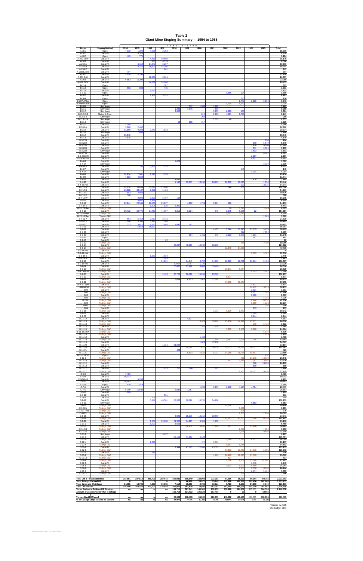**Table 2 Giant Mine Stoping Summary - 1954 to 1965**

| <b>Stopes</b>                                                         | <b>Stoping Method</b>                                                         | 1954                   | 1955                  | 1956                             | 1957                              | Tons<br>1958          | Broken<br>1959     | 1960               | 1961               | 1962               | 1963               | 1964               | 1965               | Total                       |
|-----------------------------------------------------------------------|-------------------------------------------------------------------------------|------------------------|-----------------------|----------------------------------|-----------------------------------|-----------------------|--------------------|--------------------|--------------------|--------------------|--------------------|--------------------|--------------------|-----------------------------|
| A-201<br>A-201                                                        | Open<br>Cut & Fill                                                            | 7,018                  | 1.399<br>4,329        | 4,29                             | 2,35                              |                       |                    |                    |                    |                    |                    |                    |                    | 15,066<br>4,329             |
| A-202<br>A-202 E&W                                                    | Open<br>Cut & Fill                                                            | 409                    | 775                   | 4,481                            | 10,69                             |                       |                    |                    |                    |                    |                    |                    |                    | 1,184<br>15,179             |
| A-203<br>A-269 A                                                      | Cut & Fill<br>Cut & Fill                                                      |                        | 6,15                  | 336<br>24,947                    | 6,22<br>8,20                      |                       |                    |                    |                    |                    |                    |                    |                    | 6,560<br>39,306             |
| A-269 B<br>A-269 C                                                    | Cut & Fill<br>Cut & Fill                                                      |                        | 4,746                 | 26,300                           | 14,205<br>941                     |                       |                    |                    |                    |                    |                    |                    |                    | 45,251<br>941               |
| A-West Zone<br>A-301<br>A-301 S&N                                     | Cut & Fill<br>Cut & Fill<br>Cut & Fill                                        | 797<br>5,120           | 12,298                | 12,306                           | 8,291                             |                       |                    |                    |                    |                    |                    |                    |                    | 797<br>17,418<br>20,597     |
| A-302<br>A-302 E&W                                                    | Cut & Fill<br>Cut & Fill                                                      | 6,852                  | 16,398                | 14,769                           | 14,666                            |                       |                    |                    |                    |                    |                    |                    |                    | 23,250<br>29,435            |
| $B-114$<br>B-118                                                      | Open<br>Open                                                                  | 553                    | 803                   |                                  | 307<br>445                        |                       |                    |                    |                    |                    |                    |                    |                    | 307<br>1,801                |
| B-118<br>$B-2-02$                                                     | Cut & Fill<br>Open                                                            |                        |                       | 1,132                            |                                   |                       |                    |                    |                    | 1,686              | 174                |                    |                    | 1,132<br>1,860              |
| B-202<br>B-204                                                        | Cut & Fill<br>Open                                                            |                        |                       | 2,932                            | 5,251                             |                       |                    |                    |                    |                    | 250                |                    |                    | 8,183<br>250                |
| B-207L Pillar<br>B-2-08 ADsub                                         | Open<br>Open                                                                  |                        |                       |                                  |                                   |                       |                    |                    |                    | 1,004              | 1,747<br>1,030     | 2,029              | 3,164              | 6,940<br>2,034              |
| B-208<br>B-211                                                        | Shrinkage<br>Shrinkage                                                        |                        |                       |                                  |                                   | 1,223                 | 312<br>7,346       | 1,534              | 1,916<br>500       |                    |                    |                    |                    | 3,762<br>9,069              |
| $B-212$<br>B-212-218                                                  | Shrinkage<br>Shrink. & Open                                                   |                        |                       |                                  |                                   | 3,000                 |                    | 219                | 3,265<br>2,138     | 2,893<br>4,091     | 156<br>1,793       |                    |                    | 9,314<br>8,241              |
| B-212-4<br>B-213-214                                                  | Shrinkage<br>Shrinkage                                                        |                        |                       |                                  |                                   |                       |                    | 260                | 2,305              | 46                 |                    |                    |                    | 260<br>2,351                |
| $B-214$<br>$B-221$                                                    | Shrinkage<br>Cut & Fill                                                       | 1,358                  |                       |                                  |                                   | 56                    | 865                | 717                |                    |                    |                    |                    |                    | 1,638<br>1,358              |
| <b>B-306 A</b><br>B-310                                               | Cut & Fill<br>Cut & Fill                                                      | 9,860<br>11,899        | 2,462<br>9,293        | 7,649                            | 1,533                             |                       |                    |                    |                    |                    |                    |                    |                    | 12,322<br>30,374            |
| B-310<br>B-312                                                        | Shrinkage<br>Cut & Fill                                                       | 15,845                 | 1,460                 |                                  |                                   |                       |                    |                    |                    |                    |                    |                    |                    | 1,460<br>15,845             |
| B-314<br>B-3-233                                                      | Cut & Fill<br>Cut & Fill                                                      | 4,575                  |                       |                                  |                                   |                       |                    |                    |                    |                    |                    |                    | 294                | 4,575<br>294                |
| B-3-234<br>B-3-235                                                    | Cut & Fill<br>Cut & Fill                                                      |                        |                       |                                  |                                   |                       |                    |                    |                    |                    |                    | 100<br>1,436       | 5,549<br>10,509    | 5,649<br>11,945             |
| $B - 3 - 236$<br>B-3-238                                              | Cut & Fill<br>Shrinkage                                                       |                        |                       |                                  |                                   |                       |                    |                    |                    |                    |                    | 931<br>1,503       | 6,324              | 7,255<br>1,503              |
| B-3-238<br>B-3-4-36 #3                                                | Cut & Fill<br>Cut & Fill                                                      |                        |                       |                                  |                                   |                       |                    |                    |                    |                    |                    | 2,297              | 6,667              | 6,667<br>2,297              |
| B-3-4-36 HW<br>$B-404$                                                | Cut & Fill<br>Cut & Fill                                                      |                        |                       |                                  |                                   | 1,029                 |                    |                    |                    |                    |                    | 5,611              |                    | 5,611<br>1,029              |
| $B - 4 - 04$<br><b>B-404 S</b>                                        | Shrinkage<br>Cut & Fill                                                       |                        | 160                   | 5,357                            | 1,115                             |                       |                    |                    |                    |                    |                    |                    | 2,339              | 2,339<br>6,632              |
| B-407<br>$B-4-07$                                                     | Cut & Fill<br>Shrinkage                                                       |                        |                       |                                  |                                   |                       |                    |                    |                    |                    | 145                | 4,004              |                    | 145<br>4,004                |
| $B-408$<br>B-409                                                      | Cut & Fill<br>Cut & Fill                                                      | 18,434<br>7,13         | 7,901<br>4,608        | 2,371                            | 1,030                             |                       |                    |                    |                    |                    |                    |                    |                    | 29,736<br>11,744            |
| $B-4-29$<br>$B-4-36$                                                  | Cut & Fill<br>Cut & Fill                                                      |                        |                       |                                  |                                   | 4,69<br>1,186         | 15,375             | 16,260             | 28,22'             | 18,205             | 13,023             | 478                | 2,291<br>1,170     | 7,464<br>93,440             |
| B-4-36 HW<br>B-712 A<br><b>B-712B</b>                                 | Cut & Fill<br>Cut & Fill<br>Cut & Fill                                        | 29,674<br>20,888       | 39,859<br>33,197      | 35,729<br>9,391                  | 12,96<br>1,425                    |                       |                    |                    |                    | 586                | 229<br>206         |                    | 14,115             | 14,344<br>119,020<br>64,901 |
| <b>B-712 C</b><br>B-712 E                                             | Cut & Fill<br>Cut & Fill                                                      | 7,50<br>568            | 2,92                  |                                  |                                   |                       |                    |                    |                    |                    |                    |                    |                    | 10,426<br>568               |
| B-7-12 W<br>$B-7-16$                                                  | Cut & Fill<br>Cut & Fill                                                      |                        | 2,004<br>3,857        | 7,520<br>2,998                   | 6,487                             | 194                   |                    |                    |                    |                    |                    |                    |                    | 16,205<br>6,855             |
| $B-7-17$<br>B-7-17 E                                                  | Cut & Fill<br>Cut & Fill                                                      | 12,244                 | 22.346                | 26,459<br>1,105                  | 23,167<br>138                     | 5,20                  | 4,902              | 1,743              | 3,234              | 136                |                    |                    |                    | 94,231<br>6,443             |
| B-7-17 Pillar<br>B-7-19                                               | <b>Tailings C&amp;F</b><br>Cut & Fill                                         | 15,712                 | 36,775                | 34,780                           | 44,097                            | 8,812                 | 6,204              |                    | 545                | 60<br>1,945        | 3,196<br>5,665     | 22                 | 3,049              | 6,305<br>154,557            |
| B-7-19 Pillar<br>B-7-19 Pillar                                        | <b>Tailings C&amp;F</b><br>Timber C&F                                         |                        |                       |                                  |                                   |                       |                    |                    |                    | 1,297              | 3,617              |                    | 1,669              | 4,914<br>1,669              |
| $B-7-20A$<br>B-7-20 B                                                 | Cut & Fill<br>Cut & Fill                                                      | 664<br>1,198           | 5,464<br>5,301        | 9,977<br>3,471                   | 8,715<br>50                       |                       |                    |                    |                    |                    |                    |                    |                    | 24,820<br>10,485            |
| B-7-20 C<br>B-7-21                                                    | Cut & Fill<br>Cut & Fill                                                      | 313                    | 3,617<br>5,554        | 7,133<br>10,833                  | 7,446                             | 1,897                 | 391                |                    |                    |                    |                    |                    |                    | 20,797<br>16,387            |
| $B - 7 - 27$<br>$B-7-28$                                              | Cut & Fill<br>Cut & Fill                                                      |                        |                       |                                  |                                   |                       |                    |                    | 4,463              | 3,694              | 11,890<br>412      | 11,015             | 5,433<br>7,654     | 36,495<br>8,066             |
| $B-7-29$<br>$B - 7 - 37$                                              | Cut & Fill<br>Open                                                            |                        |                       |                                  |                                   |                       | 204                | 1,46               | 343                | 1,92;              | 3,20               | 4.21<br>161        |                    | 11,345<br>161               |
| B-9-10<br>B-9-10                                                      | Cut & Fill<br><b>Tailings C&amp;F</b>                                         |                        |                       |                                  | 82                                |                       |                    |                    |                    |                    | 686                |                    | 17,380             | 82<br>18,066                |
| B-9-14<br>B-9-14                                                      | Cut & Fill<br><b>Tailings C&amp;F</b>                                         |                        |                       |                                  |                                   | 36,867                | 40,583             | 14,932             | 32,230             | 22,679             | 24,800             |                    |                    | 124,612<br>47,479           |
| <b>B-9-14 HW</b><br>B-9-14 HW                                         | Cut & Fill<br><b>Tailings C&amp;F</b>                                         |                        |                       |                                  |                                   |                       |                    |                    |                    |                    |                    | 9,063              | 3,587              | 0<br>12,650                 |
| B-9-14 E<br>B-9-14 W                                                  | Cut & Fill<br>Open & C&F                                                      |                        |                       | 1,563                            | 1,882<br>7,163                    |                       |                    |                    |                    |                    |                    |                    |                    | 3,445<br>7,163              |
| $B-9-18$<br>B-9-18 HW                                                 | Cut & Fill<br>Cut & Fill                                                      |                        |                       |                                  | 11,121                            | 29,097                | 14,643<br>2,78     | 6,707<br>1,13      | 14,929             | 22,089             | 16,701             | 10,004             | 5,493              | 101,687<br>33,020           |
| B-9-19<br>B-9-19                                                      | Cut & Fill<br>Tailings C&F                                                    |                        |                       |                                  |                                   | 20,420                | 21,48              | 6,68               | 15,426             | 20,371             | 5,454              |                    |                    | 64,014<br>25,825            |
| B-9-19/9-20<br>B-9-20                                                 | <b>Tailings C&amp;F</b><br>Cut & Fill                                         |                        |                       |                                  | 2,424                             | 30,755                | 36,599             | 15,933             | 23,526             |                    |                    | 5,253              | 2,657              | 7,910<br>109,237            |
| $B-9-20$<br>$B-9-21$                                                  | <b>Tailings C&amp;F</b><br>Cut & Fill                                         |                        |                       |                                  |                                   | 5,654                 | 4,87               | 1,02               | 12,68              | 8,577              |                    |                    |                    | 8,577<br>24,232             |
| B-9-21<br>B-9-21: B89                                                 | <b>Tailings C&amp;F</b><br>Cut & Fill<br><b>Tailings C&amp;F</b>              |                        |                       |                                  |                                   |                       |                    |                    |                    | 37,205             | 50,550             | 1,471<br>24,412    | 13,719             | 87,755<br>1,471<br>38,131   |
| .B89/92/93<br>.B94<br>.B95                                            | Cut & Fill<br><b>Tailings C&amp;F</b>                                         |                        |                       |                                  |                                   |                       |                    |                    |                    |                    |                    | 3,301<br>4,101     | 7,795              | 3,301<br>11,896             |
| .B96<br>.B96                                                          | Cut & Fill<br><b>Tailings C&amp;F</b>                                         |                        |                       |                                  |                                   |                       |                    |                    |                    |                    |                    | 2,809              | 4,036              | 2,809<br>4,036              |
| B97/99<br>B98<br>                                                     | <b>Tailings C&amp;F</b><br><b>Tailings C&amp;F</b>                            |                        |                       |                                  |                                   |                       |                    |                    |                    |                    |                    | 8,744<br>8,899     | 33,632<br>1,338    | 42,376<br>10,237            |
| B98E                                                                  | <b>Tailings C&amp;F</b><br>Cut & Fill                                         |                        |                       |                                  |                                   |                       |                    |                    |                    |                    |                    | 213                | 256                | 256<br>213                  |
| B-9-25<br>B-9-71                                                      | <b>Tailings C&amp;F</b><br>Cut & Fill                                         |                        |                       |                                  |                                   |                       |                    |                    | 2,773              | 6,119              | 1,450              | 2,365              |                    | 10,342<br>2,365             |
| $B-9-73$<br>$B-11-10$                                                 | Cut & Fill<br>Cut & Fill                                                      |                        |                       |                                  |                                   |                       | 4,617              |                    |                    |                    |                    | 3,344              |                    | 3,344<br>4,617              |
| $B-11-10$<br>B-11-13                                                  | <b>Tailings C&amp;F</b><br><b>Tailings C&amp;F</b>                            |                        |                       |                                  |                                   |                       |                    | 6,079              | 16,287             | 13,476             | 14,897             | 25,871<br>200      | 3,422              | 76,610<br>3,622             |
| B-11-15<br>B-11-15                                                    | Cut & Fill<br><b>Tailings C&amp;F</b>                                         |                        |                       |                                  |                                   |                       |                    | 746                | 1,539              | 7,203              | 9,261              | 8,360              |                    | 2,285<br>24,824             |
| B-11-15 E&W<br>$B-11-16$                                              | <b>Tailings C&amp;F</b><br><b>Tailings C&amp;F</b>                            |                        |                       |                                  |                                   |                       |                    |                    |                    |                    |                    |                    | 6,835<br>2,779     | 6,835<br>2,779              |
| $B-11-18$<br>B-11-18                                                  | Cut & Fill<br><b>Tailings C&amp;F</b>                                         |                        |                       |                                  |                                   |                       |                    | 1,468              | 7,840              | 1,867              | 2,59               | 385                |                    | 1,468<br>12,683             |
| B-11-19<br>$B-11-20$                                                  | Cut & Fill<br>Cut & Fill                                                      |                        |                       |                                  | 1,281                             | 31,883                |                    | 1,623              | 12,938             |                    |                    |                    |                    | 14,561<br>33,164            |
| B-11-20<br>B-11-21                                                    | <b>Tailings C&amp;F</b><br>Cut & Fill                                         |                        |                       |                                  |                                   | 423                   | 24,798             | 11,472             | 20,616             | 25,073             | 19,697             | 16,077             | 5,228              | 122,961<br>423              |
| $B-11-21$<br>B-11-21 FW                                               | <b>Tailings C&amp;F</b><br>Open                                               |                        |                       |                                  |                                   |                       | 5,69               | 5,539              | 8,97               | 14,960             | 18,788             | 18,507             | 437                | 72,459<br>437               |
| B-12-6<br>$B-12-10$                                                   | <b>Tailings C&amp;F</b><br><b>Tailings C&amp;F</b>                            |                        |                       |                                  |                                   |                       |                    |                    |                    | 167                | 531<br>2,515       | 11,210<br>7,367    | 14,904<br>13,881   | 26,645<br>23,930            |
| B-12-12<br>$B-12-13$                                                  | Cut & Fill<br>Cut & Fill                                                      |                        |                       |                                  |                                   |                       |                    |                    |                    |                    |                    | 300<br>589         | 19,899             | 20,199<br>589               |
| B-12-17<br>B-12-17                                                    | Cut & Fill<br>Tailings C&F                                                    |                        |                       |                                  | 1,925                             | 250                   | 196                |                    | 823                |                    | 2,453              | 14,551             | 14,451             | 3,194<br>31,455             |
| $C-5-8$<br>$C-5-9$                                                    | Cut & Fill<br>Cut & Fill                                                      | 1,436<br>10,013        |                       |                                  |                                   |                       |                    |                    |                    |                    |                    |                    |                    | 1,436<br>10,013             |
| $C - 5 - 9/5 - 11$<br>$C-5-11$                                        | Cut & Fill<br>Cut & Fill                                                      | 20,263                 | 8,263                 |                                  |                                   |                       |                    |                    |                    |                    |                    |                    |                    | 8,263<br>20,263             |
| $C-7-4$<br>$C-7-6$                                                    | Open<br>Cut & Fill                                                            | 410                    | 1,579                 |                                  |                                   |                       |                    | 1,234              | 6,156              | 6,108              | 4,125              | 4,794              |                    | 1,989<br>22,417             |
| $C-7-6$<br>$C-7-12$                                                   | Shrinkage<br>Cut & Fill                                                       | 6,099<br>1,299         | 10,692                |                                  |                                   | 2,839                 | 7,057              |                    |                    |                    |                    |                    |                    | 26,687<br>1,299             |
| $C-7-26$<br>$C-9-4$<br>$C-9-12$                                       | Cut & Fill<br>Cut & Fill<br>Cut & Fill                                        |                        |                       | 204<br>5,447                     | 511<br>40,501                     | 28,520                | 19,667             | 10,720             | 34,298             |                    |                    |                    |                    | 511<br>204<br>139,153       |
| $C-9-12$                                                              | Shrinkage                                                                     |                        |                       |                                  |                                   |                       |                    |                    |                    |                    |                    | 9,553              |                    | 9,553                       |
| $C-9-12$<br>$C-9-12N$<br>C-9-12L Pillar                               | <b>Tailings C&amp;F</b><br><b>Tailings C&amp;F</b><br><b>Tailings C&amp;F</b> |                        |                       |                                  |                                   |                       |                    |                    |                    | 19,104             | 3,23<br>376        |                    |                    | 19,104<br>3,231<br>376      |
| C-912S<br>$C-9-16$                                                    | <b>Tailings C&amp;F</b><br>Cut & Fill                                         |                        |                       |                                  |                                   | 8,020                 | 25,118             | 14,213             | 30,590             |                    | 8,653              |                    | 7,910              | 16,563<br>77,941            |
| $C-9-16$<br>$C-9-26$                                                  | <b>Tailings C&amp;F</b><br>Cut & Fill                                         |                        |                       | 1,808                            | 13,808                            | 21,320                | 14,925             | 9,351              | 1,958              | 47,707             | 41,120             | 31,996             | 20,358             | 141,181<br>63,170           |
| $C-11-3$<br>$C-11-3$                                                  | Cut & Fill<br><b>Tailings C&amp;F</b>                                         |                        |                       | 1,793                            |                                   | 3,66                  | 16,418             | 10,88              | 17,981             | 361                |                    | 13,840             |                    | 5,458<br>59,482             |
| $C-11-3S$<br>$C-11-3N$                                                | Tailings C&F<br><b>Tailings C&amp;F</b>                                       |                        |                       |                                  |                                   |                       |                    |                    |                    |                    | 2,479<br>2,734     |                    | 4,884<br>18,884    | 7,363<br>21,618             |
| $C-11-9$<br>$C-11-9$                                                  | Shrinkage<br>Cut & Fill                                                       |                        |                       |                                  | 9,727                             | 53,101                | 47,26              | 6,133              |                    |                    |                    |                    |                    | 9,727<br>106,494            |
| $C-11-9$<br>$C-12-4$                                                  | <b>Tailings C&amp;F</b><br>Cut & Fill                                         |                        |                       | 2,699                            |                                   |                       |                    | 472                | 6,986              | 1,749              | 6,225              | 6,03'              |                    | 14,005<br>10,157            |
| $C-12-4$<br>$C-12-8$                                                  | <b>Tailings C&amp;F</b><br>Cut & Fill                                         |                        |                       |                                  |                                   | 8,944                 | 41,123             | 22,063             | 43,025             | 9,547              | 5,045              |                    |                    | 14,592<br>115,155           |
| $C-12-8$<br>$C-12-9$                                                  | <b>Tailings C&amp;F</b><br>Cut & Fill                                         |                        |                       | 216                              |                                   |                       |                    |                    |                    | 51,333             | 51,750             | 14,310             | 2,985              | 120,378<br>216              |
| $-15-8$<br>$C-15-10$                                                  | <b>Tailings C&amp;F</b>                                                       |                        |                       |                                  |                                   |                       |                    |                    |                    | 417                |                    |                    |                    | 65,589<br>417               |
| $C-16-4$<br>$C-16-5$                                                  | <b>Tailings C&amp;F</b><br>Cut & Fill                                         |                        |                       |                                  |                                   |                       |                    |                    |                    | 2,034              | 9,702              | 23,784<br>1,749    | 41,887             | 77,407<br>1,749             |
| $C-16-6$<br>$C-16-8$                                                  | <b>Tailings C&amp;F</b><br><b>Tailings C&amp;F</b>                            |                        |                       |                                  |                                   |                       |                    |                    |                    | 1,113              | 8,200<br>1,405     | 25,650<br>9,336    | 16,003             | 34,963<br>26,744            |
| $C-16-9$<br>$C-16-11$                                                 | Cut & Fill<br><b>Tailings C&amp;F</b>                                         |                        |                       |                                  |                                   |                       |                    |                    |                    |                    | 666                | 2,944              | 6,714              | 9,658<br>666                |
|                                                                       | <b>Total Cut &amp; Fill (unspecified)</b>                                     | 203,651                | 237,514               | 265,706                          | 250,645                           | 301,932               | 300,949            | 133,903            | 273.913            | 54,686             | 55,599             | 59,984             | 93,781             | 2,232,263                   |
| <b>Total Tailings Cut and Fill</b><br><b>Total Open and Shrinkage</b> |                                                                               | 0<br>14,489            | $\mathbf 0$<br>16,708 | $\overline{\mathbf{0}}$<br>4,296 | $\overline{\mathbf{0}}$<br>19,995 | $\mathbf{0}$<br>7,118 | 46,909<br>15,580   | 33,972<br>2,730    | 79,245<br>10,124   | 302,888<br>9,720   | 324,887<br>5,150   | 315,476<br>17,250  | 261,860<br>5,940   | 1,365,237<br>129,100        |
| <b>Total Ore Broken</b>                                               | <b>Tones Broken in Tailings Fill Stoping</b>                                  | 218,140<br>na          | 254,222<br>na         | 270,002<br>na                    | 270,640<br>na                     | 309,050<br>199,715    | 363,438<br>281,341 | 170,605<br>140,500 | 363,282<br>276,735 | 367,294<br>302,888 | 385,636<br>324,867 | 392,710<br>315,476 | 361,581<br>304,516 | 3,726,600<br>2,146,038      |
|                                                                       | Amount of unspecified CF that is tailings                                     |                        |                       |                                  |                                   | 199,715               | 234,432            | 106,528            | 197,490            | $\Omega$           | $-20$              | $\mathbf 0$        | 42,656             |                             |
| <b>Tonnes Backfill Placed</b>                                         | % of Tailings Stope Volume as Backfill                                        | $\left  \right $<br>na | na<br>na              | na<br>na                         | na<br>na                          | 80,508<br>69.5%       | 118,478<br>77.4%   | 65,889<br>82.4%    | 123,605<br>76.4%   | 143,402<br>82.0%   | 155,175<br>84.0%   | 144,220<br>80%     | 155,158<br>78.5%   | 986,435                     |

Prepared by: KSS Checked by: DBM

Backfill-Memo-Tables.xls / Table 2 - 1954 to 1965 / 12/12/2002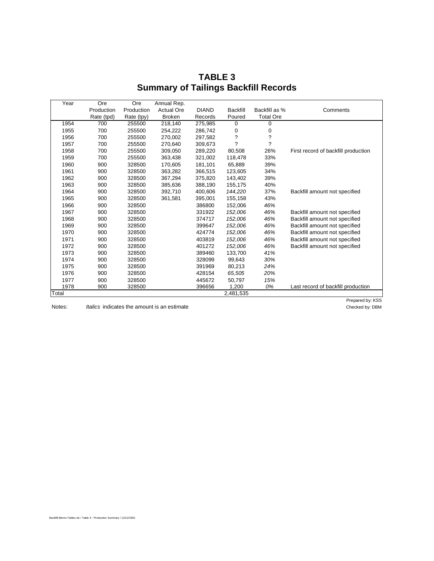| Year  | Ore        |            | Annual Rep.       |              |                      |                  |                                     |
|-------|------------|------------|-------------------|--------------|----------------------|------------------|-------------------------------------|
|       | Production | Production | <b>Actual Ore</b> | <b>DIAND</b> | <b>Backfill</b>      | Backfill as %    | Comments                            |
|       | Rate (tpd) | Rate (tpy) | <b>Broken</b>     | Records      | Poured               | <b>Total Ore</b> |                                     |
| 1954  | 700        | 255500     | 218,140           | 275,985      | 0                    | 0                |                                     |
| 1955  | 700        | 255500     | 254,222           | 286,742      | 0                    | 0                |                                     |
| 1956  | 700        | 255500     | 270,002           | 297,582      | $\ddot{\phantom{0}}$ | ?                |                                     |
| 1957  | 700        | 255500     | 270,640           | 309,673      | 7                    | 7                |                                     |
| 1958  | 700        | 255500     | 309,050           | 289,220      | 80,508               | 26%              | First record of backfill production |
| 1959  | 700        | 255500     | 363,438           | 321,002      | 118,478              | 33%              |                                     |
| 1960  | 900        | 328500     | 170,605           | 181,101      | 65,889               | 39%              |                                     |
| 1961  | 900        | 328500     | 363,282           | 366,515      | 123,605              | 34%              |                                     |
| 1962  | 900        | 328500     | 367,294           | 375,820      | 143,402              | 39%              |                                     |
| 1963  | 900        | 328500     | 385,636           | 388,190      | 155,175              | 40%              |                                     |
| 1964  | 900        | 328500     | 392,710           | 400,606      | 144,220              | 37%              | Backfill amount not specified       |
| 1965  | 900        | 328500     | 361,581           | 395,001      | 155,158              | 43%              |                                     |
| 1966  | 900        | 328500     |                   | 386800       | 152,006              | 46%              |                                     |
| 1967  | 900        | 328500     |                   | 331922       | 152,006              | 46%              | Backfill amount not specified       |
| 1968  | 900        | 328500     |                   | 374717       | 152,006              | 46%              | Backfill amount not specified       |
| 1969  | 900        | 328500     |                   | 399647       | 152,006              | 46%              | Backfill amount not specified       |
| 1970  | 900        | 328500     |                   | 424774       | 152,006              | 46%              | Backfill amount not specified       |
| 1971  | 900        | 328500     |                   | 403819       | 152,006              | 46%              | Backfill amount not specified       |
| 1972  | 900        | 328500     |                   | 401272       | 152,006              | 46%              | Backfill amount not specified       |
| 1973  | 900        | 328500     |                   | 389460       | 133,700              | 41%              |                                     |
| 1974  | 900        | 328500     |                   | 328099       | 99,643               | 30%              |                                     |
| 1975  | 900        | 328500     |                   | 391969       | 80,213               | 24%              |                                     |
| 1976  | 900        | 328500     |                   | 428154       | 65,505               | 20%              |                                     |
| 1977  | 900        | 328500     |                   | 445672       | 50,797               | 15%              |                                     |
| 1978  | 900        | 328500     |                   | 396656       | 1,200                | 0%               | Last record of backfill production  |
| Total |            |            |                   |              | 2,481,535            |                  |                                     |

**TABLE 3 Summary of Tailings Backfill Records**

Notes: *Italics* indicates the amount is an estimate

Prepared by: KSS<br>Checked by: DBM